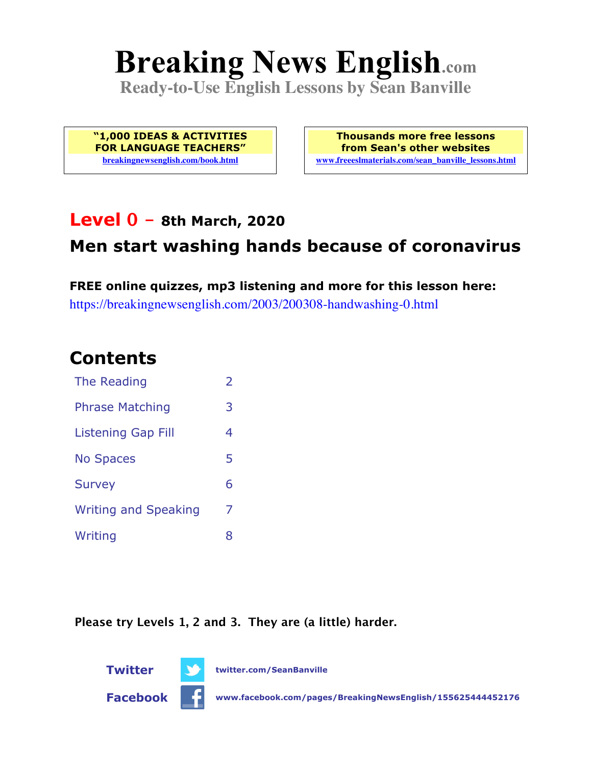# **Breaking News English.com**

**Ready-to-Use English Lessons by Sean Banville**

**"1,000 IDEAS & ACTIVITIES FOR LANGUAGE TEACHERS" breakingnewsenglish.com/book.html**

**Thousands more free lessons from Sean's other websites www.freeeslmaterials.com/sean\_banville\_lessons.html**

### **Level 0 - 8th March, 2020**

### **Men start washing hands because of coronavirus**

**FREE online quizzes, mp3 listening and more for this lesson here:** https://breakingnewsenglish.com/2003/200308-handwashing-0.html

### **Contents**

| The Reading                 | $\overline{\phantom{a}}$ |
|-----------------------------|--------------------------|
| <b>Phrase Matching</b>      |                          |
| Listening Gap Fill          | 4                        |
| <b>No Spaces</b>            | 5                        |
| <b>Survey</b>               | 6                        |
| <b>Writing and Speaking</b> | 7                        |
| Writing                     | 8                        |

**Please try Levels 1, 2 and 3. They are (a little) harder.**





**Facebook www.facebook.com/pages/BreakingNewsEnglish/155625444452176**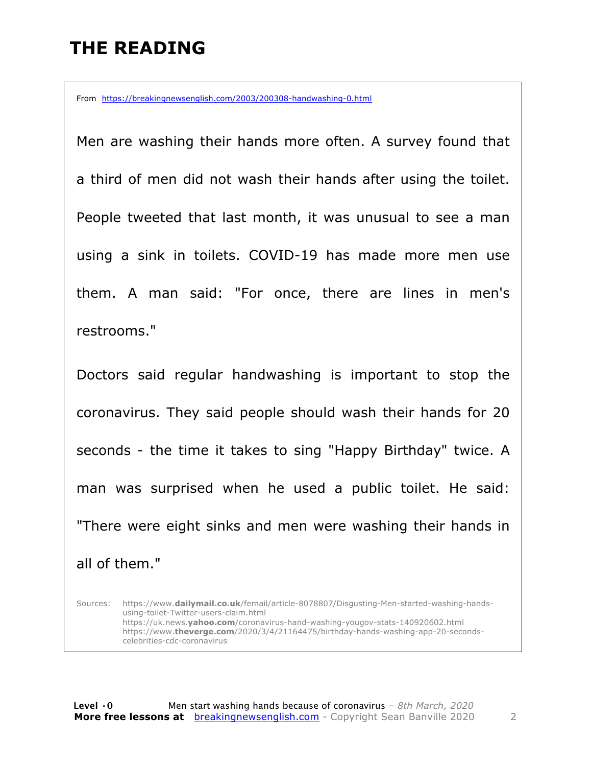### **THE READING**

From https://breakingnewsenglish.com/2003/200308-handwashing-0.html

Men are washing their hands more often. A survey found that a third of men did not wash their hands after using the toilet. People tweeted that last month, it was unusual to see a man using a sink in toilets. COVID-19 has made more men use them. A man said: "For once, there are lines in men's restrooms."

Doctors said regular handwashing is important to stop the coronavirus. They said people should wash their hands for 20 seconds - the time it takes to sing "Happy Birthday" twice. A man was surprised when he used a public toilet. He said: "There were eight sinks and men were washing their hands in all of them."

Sources: https://www.**dailymail.co.uk**/femail/article-8078807/Disgusting-Men-started-washing-handsusing-toilet-Twitter-users-claim.html https://uk.news.**yahoo.com**/coronavirus-hand-washing-yougov-stats-140920602.html https://www.**theverge.com**/2020/3/4/21164475/birthday-hands-washing-app-20-secondscelebrities-cdc-coronavirus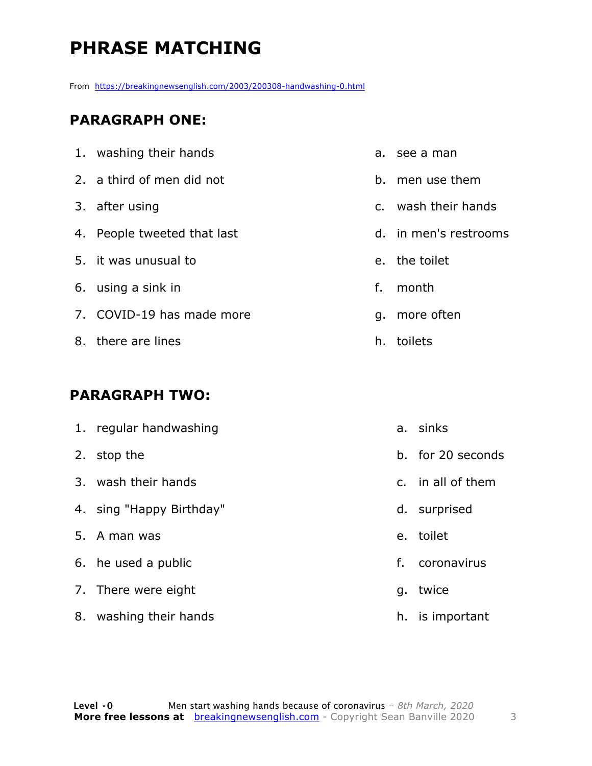# **PHRASE MATCHING**

From https://breakingnewsenglish.com/2003/200308-handwashing-0.html

#### **PARAGRAPH ONE:**

| 1. washing their hands      |    | a. see a man          |
|-----------------------------|----|-----------------------|
| 2. a third of men did not   |    | b. men use them       |
| 3. after using              |    | c. wash their hands   |
| 4. People tweeted that last |    | d. in men's restrooms |
| 5. it was unusual to        |    | e. the toilet         |
| 6. using a sink in          | f. | month                 |
| 7. COVID-19 has made more   |    | g. more often         |
| 8. there are lines          |    | h. toilets            |

#### **PARAGRAPH TWO:**

|    | 1. regular handwashing   |    | a. sinks          |
|----|--------------------------|----|-------------------|
| 2. | stop the                 |    | b. for 20 seconds |
|    | 3. wash their hands      |    | c. in all of them |
|    | 4. sing "Happy Birthday" |    | d. surprised      |
|    | 5. A man was             |    | e. toilet         |
|    | 6. he used a public      | f. | coronavirus       |
|    | 7. There were eight      | q. | twice             |
| 8. | washing their hands      | h. | is important      |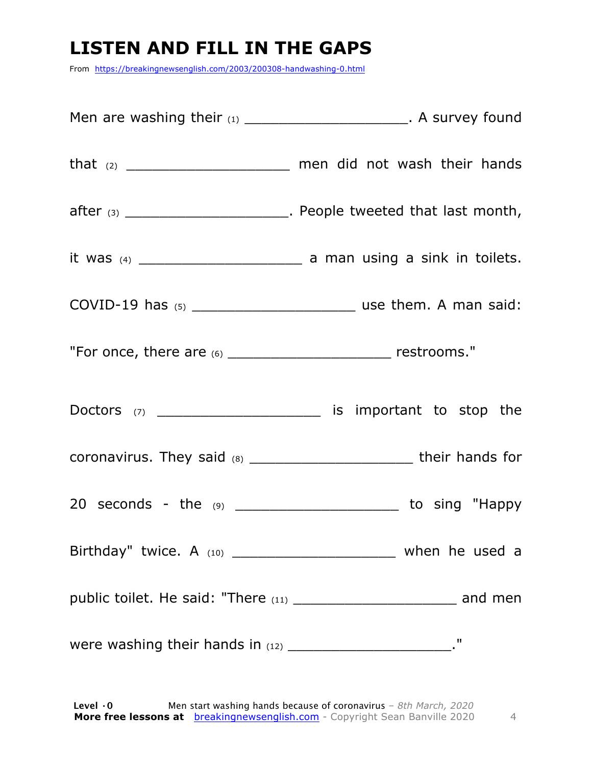## **LISTEN AND FILL IN THE GAPS**

From https://breakingnewsenglish.com/2003/200308-handwashing-0.html

|                                                                    | Men are washing their $(1)$ _________________________. A survey found             |
|--------------------------------------------------------------------|-----------------------------------------------------------------------------------|
|                                                                    | that $(2)$ ____________________________ men did not wash their hands              |
|                                                                    | $\mathsf{after}$ (3) ___________________________. People tweeted that last month, |
|                                                                    |                                                                                   |
|                                                                    |                                                                                   |
| "For once, there are (6) ____________________________ restrooms."  |                                                                                   |
|                                                                    |                                                                                   |
|                                                                    | coronavirus. They said (8) _______________________________their hands for         |
|                                                                    | 20 seconds - the $(9)$ ___________________________ to sing "Happy                 |
|                                                                    | Birthday" twice. A $(10)$ _________________________________ when he used a        |
|                                                                    |                                                                                   |
| were washing their hands in (12) _______________________________." |                                                                                   |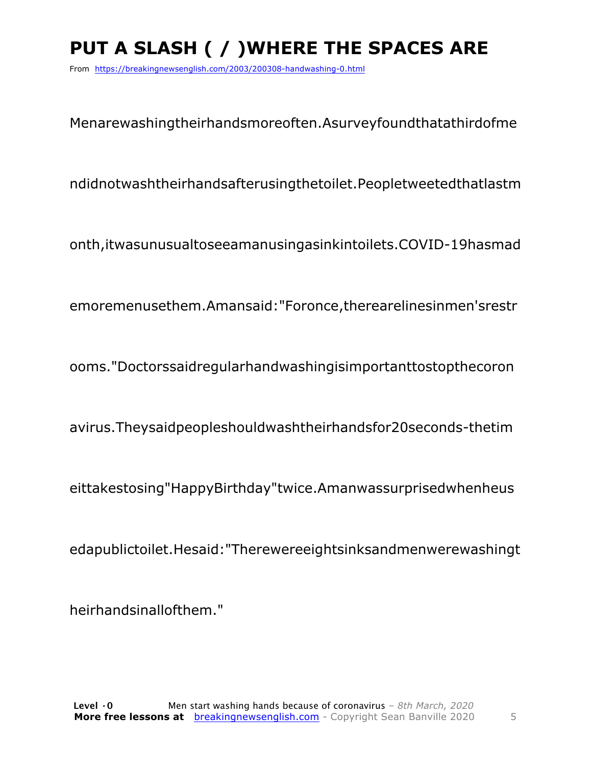# **PUT A SLASH ( / )WHERE THE SPACES ARE**

From https://breakingnewsenglish.com/2003/200308-handwashing-0.html

Menarewashingtheirhandsmoreoften.Asurveyfoundthatathirdofme

ndidnotwashtheirhandsafterusingthetoilet.Peopletweetedthatlastm

onth,itwasunusualtoseeamanusingasinkintoilets.COVID-19hasmad

emoremenusethem.Amansaid:"Foronce,therearelinesinmen'srestr

ooms."Doctorssaidregularhandwashingisimportanttostopthecoron

avirus.Theysaidpeopleshouldwashtheirhandsfor20seconds-thetim

eittakestosing"HappyBirthday"twice.Amanwassurprisedwhenheus

edapublictoilet.Hesaid:"Therewereeightsinksandmenwerewashingt

heirhandsinallofthem."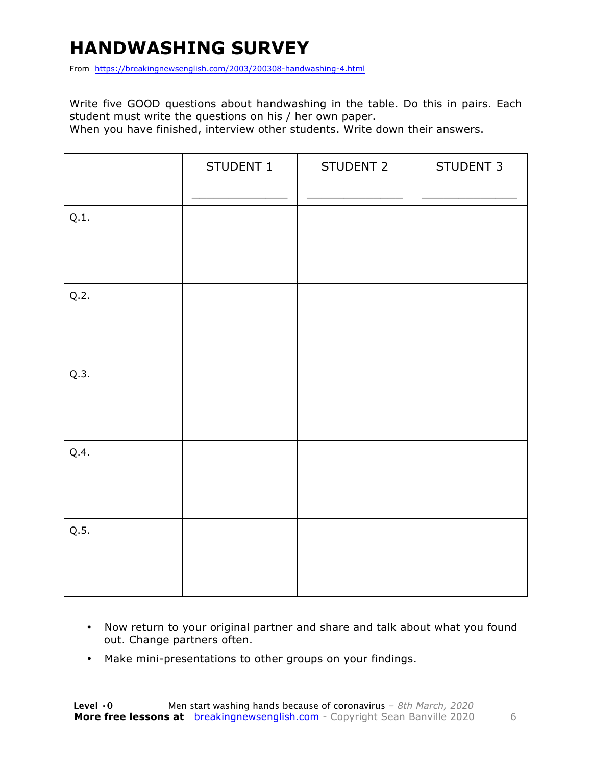# **HANDWASHING SURVEY**

From https://breakingnewsenglish.com/2003/200308-handwashing-4.html

Write five GOOD questions about handwashing in the table. Do this in pairs. Each student must write the questions on his / her own paper.

When you have finished, interview other students. Write down their answers.

|      | STUDENT 1 | STUDENT 2 | STUDENT 3 |
|------|-----------|-----------|-----------|
| Q.1. |           |           |           |
| Q.2. |           |           |           |
| Q.3. |           |           |           |
| Q.4. |           |           |           |
| Q.5. |           |           |           |

- Now return to your original partner and share and talk about what you found out. Change partners often.
- Make mini-presentations to other groups on your findings.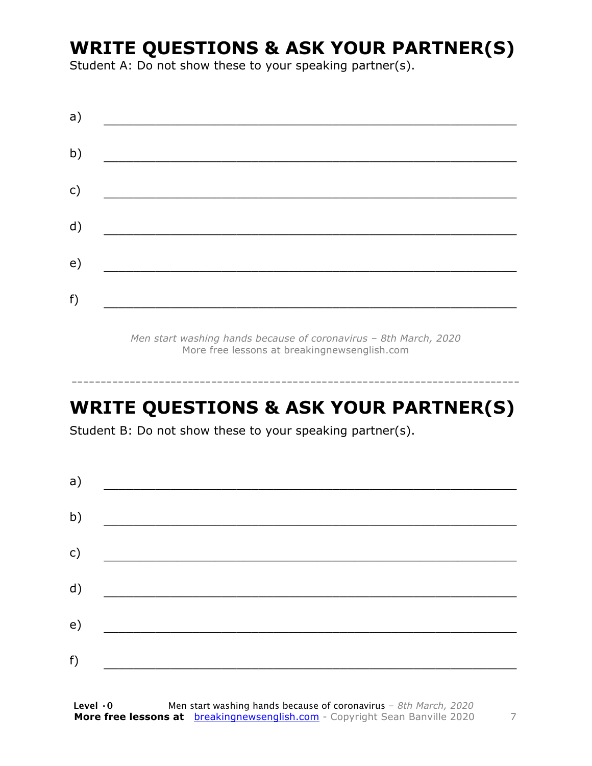### **WRITE QUESTIONS & ASK YOUR PARTNER(S)**

Student A: Do not show these to your speaking partner(s).

| a) |  |  |
|----|--|--|
| b) |  |  |
| c) |  |  |
| d) |  |  |
| e) |  |  |
| f) |  |  |
|    |  |  |

*Men start washing hands because of coronavirus – 8th March, 2020* More free lessons at breakingnewsenglish.com

### **WRITE QUESTIONS & ASK YOUR PARTNER(S)**

-----------------------------------------------------------------------------

Student B: Do not show these to your speaking partner(s).

| a) |  |  |
|----|--|--|
| b) |  |  |
| c) |  |  |
| d) |  |  |
| e) |  |  |
| f) |  |  |
|    |  |  |